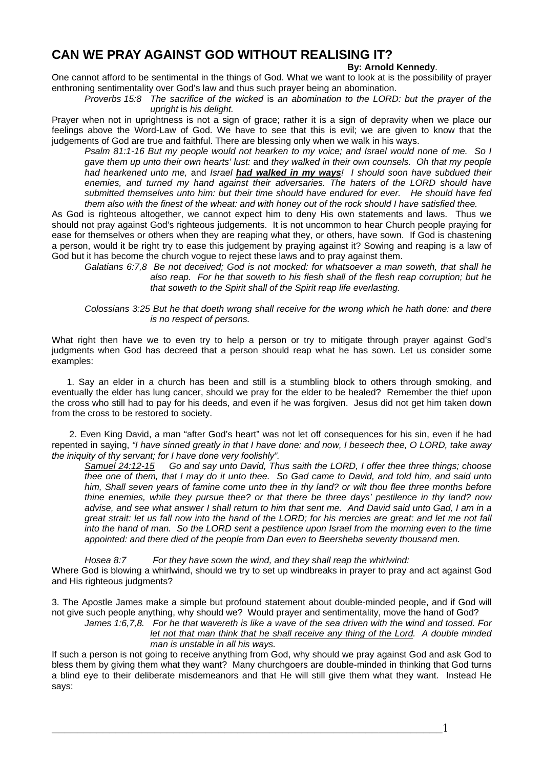## **CAN WE PRAY AGAINST GOD WITHOUT REALISING IT?**

## **By: Arnold Kennedy**.

One cannot afford to be sentimental in the things of God. What we want to look at is the possibility of prayer enthroning sentimentality over God's law and thus such prayer being an abomination.

*Proverbs 15:8 The sacrifice of the wicked* is *an abomination to the LORD: but the prayer of the upright* is *his delight.* 

Prayer when not in uprightness is not a sign of grace; rather it is a sign of depravity when we place our feelings above the Word-Law of God. We have to see that this is evil; we are given to know that the judgements of God are true and faithful. There are blessing only when we walk in his ways.

*Psalm 81:1-16 But my people would not hearken to my voice; and Israel would none of me. So I gave them up unto their own hearts' lust:* and *they walked in their own counsels. Oh that my people had hearkened unto me,* and *Israel had walked in my ways! I should soon have subdued their enemies, and turned my hand against their adversaries. The haters of the LORD should have submitted themselves unto him: but their time should have endured for ever. He should have fed them also with the finest of the wheat: and with honey out of the rock should I have satisfied thee.* 

As God is righteous altogether, we cannot expect him to deny His own statements and laws. Thus we should not pray against God's righteous judgements. It is not uncommon to hear Church people praying for ease for themselves or others when they are reaping what they, or others, have sown. If God is chastening a person, would it be right try to ease this judgement by praying against it? Sowing and reaping is a law of God but it has become the church vogue to reject these laws and to pray against them.

*Galatians 6:7,8 Be not deceived; God is not mocked: for whatsoever a man soweth, that shall he also reap. For he that soweth to his flesh shall of the flesh reap corruption; but he that soweth to the Spirit shall of the Spirit reap life everlasting.* 

*Colossians 3:25 But he that doeth wrong shall receive for the wrong which he hath done: and there is no respect of persons.* 

What right then have we to even try to help a person or try to mitigate through prayer against God's judgments when God has decreed that a person should reap what he has sown. Let us consider some examples:

 1. Say an elder in a church has been and still is a stumbling block to others through smoking, and eventually the elder has lung cancer, should we pray for the elder to be healed? Remember the thief upon the cross who still had to pay for his deeds, and even if he was forgiven. Jesus did not get him taken down from the cross to be restored to society.

 2. Even King David, a man "after God's heart" was not let off consequences for his sin, even if he had repented in saying, *"I have sinned greatly in that I have done: and now, I beseech thee, O LORD, take away the iniquity of thy servant; for I have done very foolishly".*

*Samuel 24:12-15 Go and say unto David, Thus saith the LORD, I offer thee three things; choose thee one of them, that I may do it unto thee. So Gad came to David, and told him, and said unto him, Shall seven years of famine come unto thee in thy land? or wilt thou flee three months before thine enemies, while they pursue thee? or that there be three days' pestilence in thy land? now advise, and see what answer I shall return to him that sent me. And David said unto Gad, I am in a great strait: let us fall now into the hand of the LORD; for his mercies are great: and let me not fall into the hand of man. So the LORD sent a pestilence upon Israel from the morning even to the time appointed: and there died of the people from Dan even to Beersheba seventy thousand men.* 

*Hosea 8:7 For they have sown the wind, and they shall reap the whirlwind:*  Where God is blowing a whirlwind, should we try to set up windbreaks in prayer to pray and act against God and His righteous judgments?

3. The Apostle James make a simple but profound statement about double-minded people, and if God will not give such people anything, why should we? Would prayer and sentimentality, move the hand of God?

*James 1:6,7,8. For he that wavereth is like a wave of the sea driven with the wind and tossed. For let not that man think that he shall receive any thing of the Lord. A double minded man is unstable in all his ways.* 

If such a person is not going to receive anything from God, why should we pray against God and ask God to bless them by giving them what they want? Many churchgoers are double-minded in thinking that God turns a blind eye to their deliberate misdemeanors and that He will still give them what they want. Instead He says:

 $\overline{\phantom{a}1}$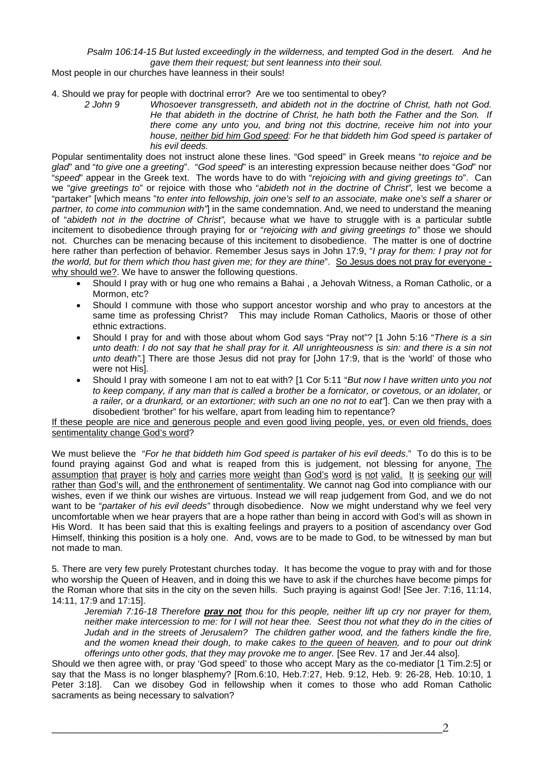*Psalm 106:14-15 But lusted exceedingly in the wilderness, and tempted God in the desert. And he gave them their request; but sent leanness into their soul.* 

Most people in our churches have leanness in their souls!

4. Should we pray for people with doctrinal error? Are we too sentimental to obey?

*2 John 9 Whosoever transgresseth, and abideth not in the doctrine of Christ, hath not God. He that abideth in the doctrine of Christ, he hath both the Father and the Son. If there come any unto you, and bring not this doctrine, receive him not into your*  house, neither bid him God speed: For he that biddeth him God speed is partaker of *his evil deeds.* 

Popular sentimentality does not instruct alone these lines. "God speed" in Greek means "*to rejoice and be glad*" and "*to give one a greeting*". "*God speed*" is an interesting expression because neither does "*God*" nor "*speed*" appear in the Greek text. The words have to do with "*rejoicing with and giving greetings to*". Can we "*give greetings to*" or rejoice with those who "*abideth not in the doctrine of Christ",* lest we become a "partaker" [which means "*to enter into fellowship, join one's self to an associate, make one's self a sharer or partner, to come into communion with"*] in the same condemnation. And, we need to understand the meaning of "*abideth not in the doctrine of Christ",* because what we have to struggle with is a particular subtle incitement to disobedience through praying for or "*rejoicing with and giving greetings to"* those we should not. Churches can be menacing because of this incitement to disobedience. The matter is one of doctrine here rather than perfection of behavior. Remember Jesus says in John 17:9, "*I pray for them: I pray not for the world, but for them which thou hast given me; for they are thine*". So Jesus does not pray for everyone why should we?. We have to answer the following questions.

- Should I pray with or hug one who remains a Bahai , a Jehovah Witness, a Roman Catholic, or a Mormon, etc?
- Should I commune with those who support ancestor worship and who pray to ancestors at the same time as professing Christ? This may include Roman Catholics, Maoris or those of other ethnic extractions.
- Should I pray for and with those about whom God says "Pray not"? [1 John 5:16 "*There is a sin unto death: I do not say that he shall pray for it. All unrighteousness is sin: and there is a sin not unto death".*] There are those Jesus did not pray for [John 17:9, that is the 'world' of those who were not His].
- Should I pray with someone I am not to eat with? [1 Cor 5:11 "*But now I have written unto you not to keep company, if any man that is called a brother be a fornicator, or covetous, or an idolater, or a railer, or a drunkard, or an extortioner; with such an one no not to eat"*]. Can we then pray with a disobedient 'brother" for his welfare, apart from leading him to repentance?

If these people are nice and generous people and even good living people, yes, or even old friends, does sentimentality change God's word?

We must believe the "*For he that biddeth him God speed is partaker of his evil deeds*." To do this is to be found praying against God and what is reaped from this is judgement, not blessing for anyone. The assumption that prayer is holy and carries more weight than God's word is not valid. It is seeking our will rather than God's will, and the enthronement of sentimentality. We cannot nag God into compliance with our wishes, even if we think our wishes are virtuous. Instead we will reap judgement from God, and we do not want to be "*partaker of his evil deeds"* through disobedience. Now we might understand why we feel very uncomfortable when we hear prayers that are a hope rather than being in accord with God's will as shown in His Word. It has been said that this is exalting feelings and prayers to a position of ascendancy over God Himself, thinking this position is a holy one. And, vows are to be made to God, to be witnessed by man but not made to man.

5. There are very few purely Protestant churches today. It has become the vogue to pray with and for those who worship the Queen of Heaven, and in doing this we have to ask if the churches have become pimps for the Roman whore that sits in the city on the seven hills. Such praying is against God! [See Jer. 7:16, 11:14, 14:11, 17:9 and 17:15].

*Jeremiah 7:16-18 Therefore pray not thou for this people, neither lift up cry nor prayer for them, neither make intercession to me: for I will not hear thee. Seest thou not what they do in the cities of Judah and in the streets of Jerusalem? The children gather wood, and the fathers kindle the fire, and the women knead their dough, to make cakes to the queen of heaven, and to pour out drink offerings unto other gods, that they may provoke me to anger.* [See Rev. 17 and Jer.44 also].

Should we then agree with, or pray 'God speed' to those who accept Mary as the co-mediator [1 Tim.2:5] or say that the Mass is no longer blasphemy? [Rom.6:10, Heb.7:27, Heb. 9:12, Heb. 9: 26-28, Heb. 10:10, 1 Peter 3:18]. Can we disobey God in fellowship when it comes to those who add Roman Catholic sacraments as being necessary to salvation?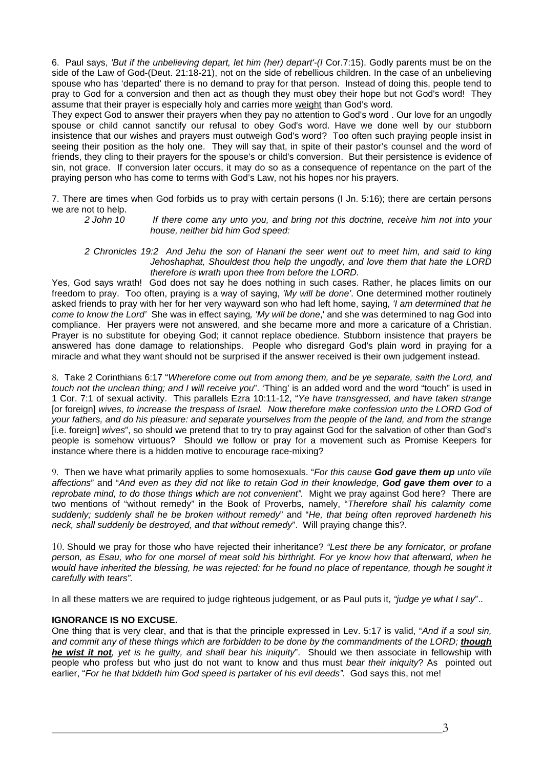6. Paul says, *'But if the unbelieving depart, let him (her) depart'-(I* Cor.7:15). Godly parents must be on the side of the Law of God-(Deut. 21:18-21), not on the side of rebellious children. In the case of an unbelieving spouse who has 'departed' there is no demand to pray for that person. Instead of doing this, people tend to pray to God for a conversion and then act as though they must obey their hope but not God's word! They assume that their prayer is especially holy and carries more weight than God's word.

They expect God to answer their prayers when they pay no attention to God's word . Our love for an ungodly spouse or child cannot sanctify our refusal to obey God's word. Have we done well by our stubborn insistence that our wishes and prayers must outweigh God's word? Too often such praying people insist in seeing their position as the holy one. They will say that, in spite of their pastor's counsel and the word of friends, they cling to their prayers for the spouse's or child's conversion. But their persistence is evidence of sin, not grace. If conversion later occurs, it may do so as a consequence of repentance on the part of the praying person who has come to terms with God's Law, not his hopes nor his prayers.

7. There are times when God forbids us to pray with certain persons (I Jn. 5:16); there are certain persons we are not to help.

*2 John 10 If there come any unto you, and bring not this doctrine, receive him not into your house, neither bid him God speed:* 

*2 Chronicles 19:2 And Jehu the son of Hanani the seer went out to meet him, and said to king Jehoshaphat, Shouldest thou help the ungodly, and love them that hate the LORD therefore is wrath upon thee from before the LORD.* 

Yes, God says wrath! God does not say he does nothing in such cases. Rather, he places limits on our freedom to pray. Too often, praying is a way of saying, *'My will be done'*. One determined mother routinely asked friends to pray with her for her very wayward son who had left home, saying*, 'I am determined that he come to know the Lord'* She was in effect saying*, 'My will be done*,' and she was determined to nag God into compliance. Her prayers were not answered, and she became more and more a caricature of a Christian. Prayer is no substitute for obeying God; it cannot replace obedience. Stubborn insistence that prayers be answered has done damage to relationships. People who disregard God's plain word in praying for a miracle and what they want should not be surprised if the answer received is their own judgement instead.

8. Take 2 Corinthians 6:17 "*Wherefore come out from among them, and be ye separate, saith the Lord, and touch not the unclean thing; and I will receive you*". 'Thing' is an added word and the word "touch" is used in 1 Cor. 7:1 of sexual activity. This parallels Ezra 10:11-12, "*Ye have transgressed, and have taken strange*  [or foreign] wives, to increase the trespass of Israel. Now therefore make confession unto the LORD God of *your fathers, and do his pleasure: and separate yourselves from the people of the land, and from the strange*  [i.e. foreign] *wives*", so should we pretend that to try to pray against God for the salvation of other than God's people is somehow virtuous? Should we follow or pray for a movement such as Promise Keepers for instance where there is a hidden motive to encourage race-mixing?

9. Then we have what primarily applies to some homosexuals. "*For this cause God gave them up unto vile affections*" and "*And even as they did not like to retain God in their knowledge, God gave them over to a reprobate mind, to do those things which are not convenient".* Might we pray against God here? There are two mentions of "without remedy" in the Book of Proverbs, namely, "*Therefore shall his calamity come suddenly; suddenly shall he be broken without remedy*" and "*He, that being often reproved hardeneth his neck, shall suddenly be destroyed, and that without remedy*". Will praying change this?.

10. Should we pray for those who have rejected their inheritance? *"Lest there be any fornicator, or profane person, as Esau, who for one morsel of meat sold his birthright. For ye know how that afterward, when he would have inherited the blessing, he was rejected: for he found no place of repentance, though he sought it carefully with tears".* 

In all these matters we are required to judge righteous judgement, or as Paul puts it, *"judge ye what I say*"..

## **IGNORANCE IS NO EXCUSE.**

One thing that is very clear, and that is that the principle expressed in Lev. 5:17 is valid, "*And if a soul sin,*  and commit any of these things which are forbidden to be done by the commandments of the LORD; *though he wist it not, yet is he guilty, and shall bear his iniquity*". Should we then associate in fellowship with people who profess but who just do not want to know and thus must *bear their iniquity*? As pointed out earlier, "*For he that biddeth him God speed is partaker of his evil deeds"*. God says this, not me!

 $\overline{\phantom{a}3}$